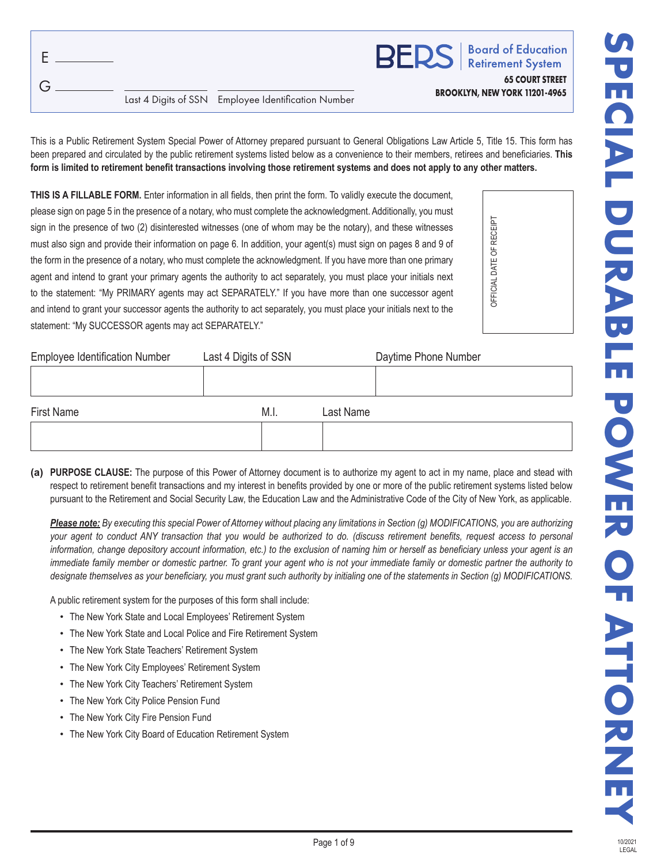|  |                                                     | <b>BERS</b>   Board of Education                               |
|--|-----------------------------------------------------|----------------------------------------------------------------|
|  | Last 4 Digits of SSN Employee Identification Number | <b>65 COURT STREET</b><br><b>BROOKLYN, NEW YORK 11201-4965</b> |

This is a Public Retirement System Special Power of Attorney prepared pursuant to General Obligations Law Article 5, Title 15. This form has been prepared and circulated by the public retirement systems listed below as a convenience to their members, retirees and beneficiaries. **This form is limited to retirement benefit transactions involving those retirement systems and does not apply to any other matters.**

**THIS IS A FILLABLE FORM.** Enter information in all fields, then print the form. To validly execute the document, please sign on page 5 in the presence of a notary, who must complete the acknowledgment. Additionally, you must sign in the presence of two (2) disinterested witnesses (one of whom may be the notary), and these witnesses must also sign and provide their information on page 6. In addition, your agent(s) must sign on pages 8 and 9 of the form in the presence of a notary, who must complete the acknowledgment. If you have more than one primary agent and intend to grant your primary agents the authority to act separately, you must place your initials next to the statement: "My PRIMARY agents may act SEPARATELY." If you have more than one successor agent and intend to grant your successor agents the authority to act separately, you must place your initials next to the statement: "My SUCCESSOR agents may act SEPARATELY."



| <b>Employee Identification Number</b> | Last 4 Digits of SSN | Daytime Phone Number |
|---------------------------------------|----------------------|----------------------|
|                                       |                      |                      |
|                                       |                      |                      |
| First Name                            | M.I.                 | Last Name            |
|                                       |                      |                      |
|                                       |                      |                      |

**(a) PURPOSE CLAUSE:** The purpose of this Power of Attorney document is to authorize my agent to act in my name, place and stead with respect to retirement benefit transactions and my interest in benefits provided by one or more of the public retirement systems listed below pursuant to the Retirement and Social Security Law, the Education Law and the Administrative Code of the City of New York, as applicable.

*Please note: By executing this special Power of Attorney without placing any limitations in Section (g) MODIFICATIONS, you are authorizing your agent to conduct ANY transaction that you would be authorized to do. (discuss retirement benefits, request access to personal information, change depository account information, etc.) to the exclusion of naming him or herself as beneficiary unless your agent is an immediate family member or domestic partner. To grant your agent who is not your immediate family or domestic partner the authority to designate themselves as your beneficiary, you must grant such authority by initialing one of the statements in Section (g) MODIFICATIONS.*

A public retirement system for the purposes of this form shall include:

- The New York State and Local Employees' Retirement System
- The New York State and Local Police and Fire Retirement System
- The New York State Teachers' Retirement System
- The New York City Employees' Retirement System
- The New York City Teachers' Retirement System
- The New York City Police Pension Fund
- The New York City Fire Pension Fund
- The New York City Board of Education Retirement System

10/2021 LEGAL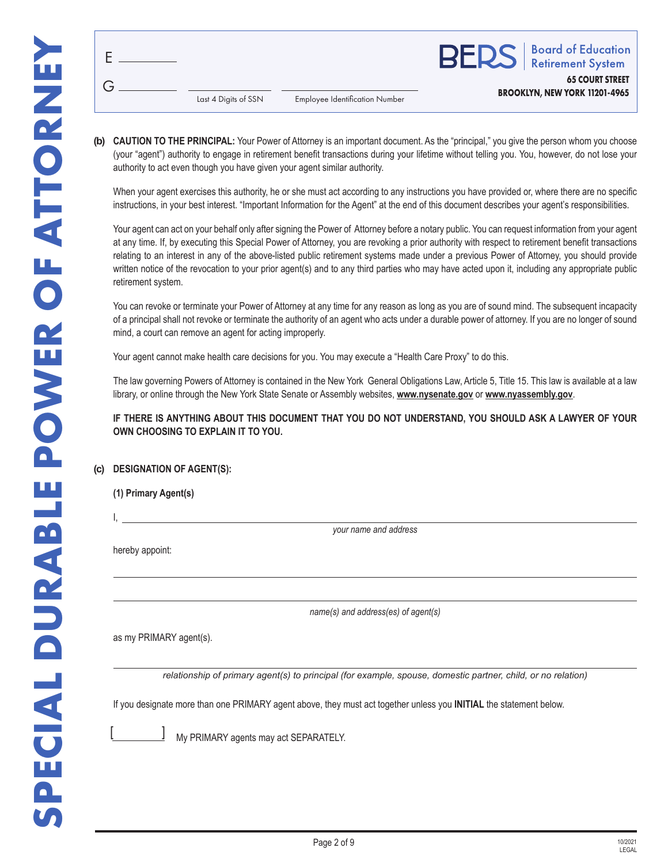|                      |                                       | <b>BERS</b>   Board of Education                               |
|----------------------|---------------------------------------|----------------------------------------------------------------|
| Last 4 Digits of SSN | <b>Employee Identification Number</b> | <b>65 COURT STREET</b><br><b>BROOKLYN, NEW YORK 11201-4965</b> |

**(b) CAUTION TO THE PRINCIPAL:** Your Power of Attorney is an important document. As the "principal," you give the person whom you choose (your "agent") authority to engage in retirement benefit transactions during your lifetime without telling you. You, however, do not lose your authority to act even though you have given your agent similar authority.

When your agent exercises this authority, he or she must act according to any instructions you have provided or, where there are no specific instructions, in your best interest. "Important Information for the Agent" at the end of this document describes your agent's responsibilities.

Your agent can act on your behalf only after signing the Power of Attorney before a notary public. You can request information from your agent at any time. If, by executing this Special Power of Attorney, you are revoking a prior authority with respect to retirement benefit transactions relating to an interest in any of the above-listed public retirement systems made under a previous Power of Attorney, you should provide written notice of the revocation to your prior agent(s) and to any third parties who may have acted upon it, including any appropriate public retirement system.

You can revoke or terminate your Power of Attorney at any time for any reason as long as you are of sound mind. The subsequent incapacity of a principal shall not revoke or terminate the authority of an agent who acts under a durable power of attorney. If you are no longer of sound mind, a court can remove an agent for acting improperly.

Your agent cannot make health care decisions for you. You may execute a "Health Care Proxy" to do this.

The law governing Powers of Attorney is contained in the New York General Obligations Law, Article 5, Title 15. This law is available at a law library, or online through the New York State Senate or Assembly websites, **www.nysenate.gov** or **www.nyassembly.gov**.

**IF THERE IS ANYTHING ABOUT THIS DOCUMENT THAT YOU DO NOT UNDERSTAND, YOU SHOULD ASK A LAWYER OF YOUR OWN CHOOSING TO EXPLAIN IT TO YOU.**

# **(c) DESIGNATION OF AGENT(S):**

I,

*your name and address*

hereby appoint:

*name(s) and address(es) of agent(s)*

as my PRIMARY agent(s).

*relationship of primary agent(s) to principal (for example, spouse, domestic partner, child, or no relation)*

If you designate more than one PRIMARY agent above, they must act together unless you **INITIAL** the statement below.



My PRIMARY agents may act SEPARATELY.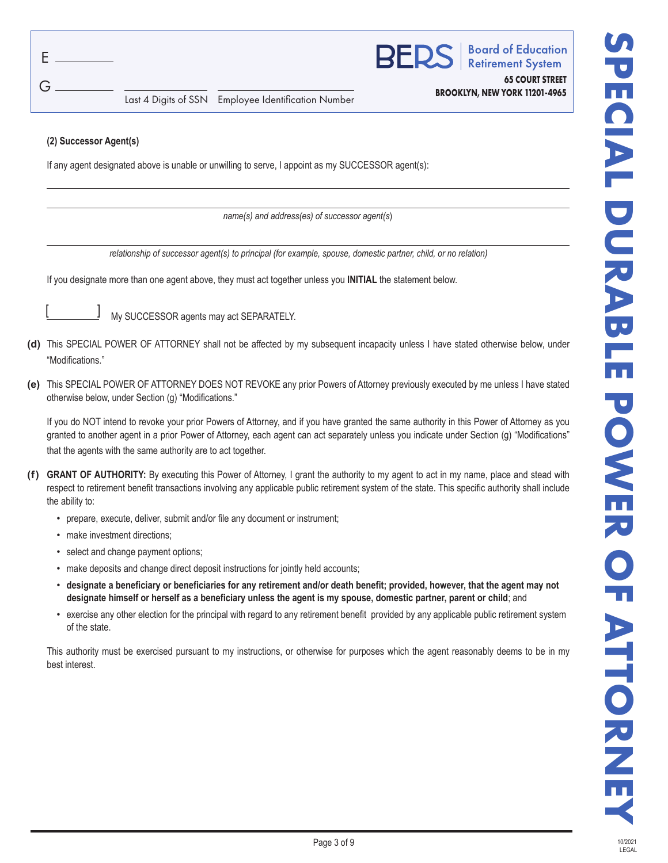G

**Board of Education Retirement System** 

**65 COURT STREET BROOKLYN, NEW YORK 11201-4965**

Last 4 Digits of SSN Employee Identification Number

### **(2) Successor Agent(s)**

If any agent designated above is unable or unwilling to serve, I appoint as my SUCCESSOR agent(s):

*name(s) and address(es) of successor agent(s*)

*relationship of successor agent(s) to principal (for example, spouse, domestic partner, child, or no relation)*

If you designate more than one agent above, they must act together unless you **INITIAL** the statement below.



My SUCCESSOR agents may act SEPARATELY.

- **(d)** This SPECIAL POWER OF ATTORNEY shall not be affected by my subsequent incapacity unless I have stated otherwise below, under "Modifications."
- **(e)** This SPECIAL POWER OF ATTORNEY DOES NOT REVOKE any prior Powers of Attorney previously executed by me unless I have stated otherwise below, under Section (g) "Modifications."

If you do NOT intend to revoke your prior Powers of Attorney, and if you have granted the same authority in this Power of Attorney as you granted to another agent in a prior Power of Attorney, each agent can act separately unless you indicate under Section (g) "Modifications" that the agents with the same authority are to act together.

- **(f) GRANT OF AUTHORITY:** By executing this Power of Attorney, I grant the authority to my agent to act in my name, place and stead with respect to retirement benefit transactions involving any applicable public retirement system of the state. This specific authority shall include the ability to:
	- prepare, execute, deliver, submit and/or file any document or instrument;
	- make investment directions;
	- select and change payment options;
	- make deposits and change direct deposit instructions for jointly held accounts;
	- **designate a beneficiary or beneficiaries for any retirement and/or death benefit; provided, however, that the agent may not designate himself or herself as a beneficiary unless the agent is my spouse, domestic partner, parent or child**; and
	- exercise any other election for the principal with regard to any retirement benefit provided by any applicable public retirement system of the state.

This authority must be exercised pursuant to my instructions, or otherwise for purposes which the agent reasonably deems to be in my best interest.

10/2021 LEGAL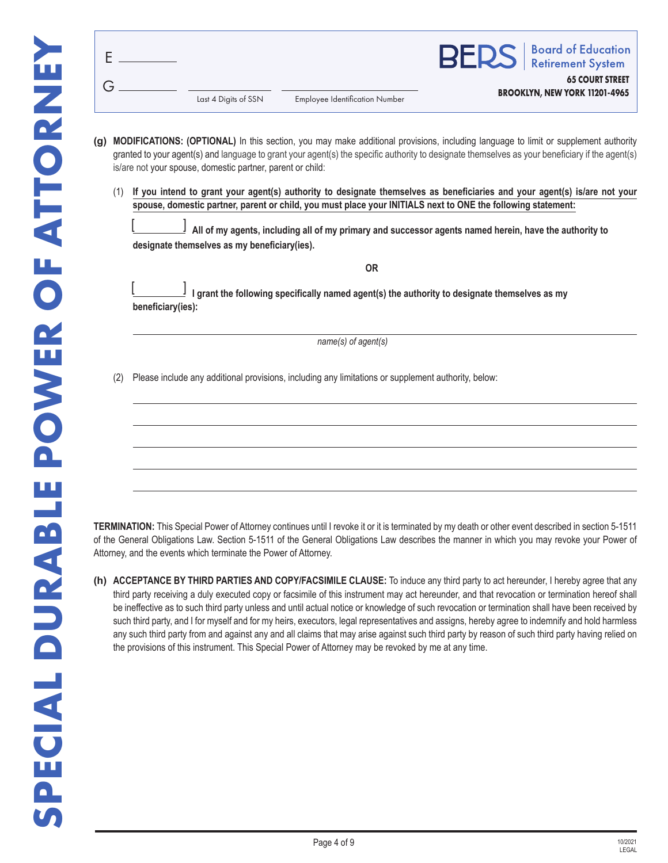|                      |                                       | <b>BERS</b>   Board of Education                               |
|----------------------|---------------------------------------|----------------------------------------------------------------|
| Last 4 Digits of SSN | <b>Employee Identification Number</b> | <b>65 COURT STREET</b><br><b>BROOKLYN, NEW YORK 11201-4965</b> |

- **(g) MODIFICATIONS: (OPTIONAL)** In this section, you may make additional provisions, including language to limit or supplement authority granted to your agent(s) and language to grant your agent(s) the specific authority to designate themselves as your beneficiary if the agent(s) is/are not your spouse, domestic partner, parent or child:
	- (1) **If you intend to grant your agent(s) authority to designate themselves as beneficiaries and your agent(s) is/are not your spouse, domestic partner, parent or child, you must place your INITIALS next to ONE the following statement:**

 **All of my agents, including all of my primary and successor agents named herein, have the authority to designate themselves as my beneficiary(ies).**  $[$   $]$ 

**OR I grant the following specifically named agent(s) the authority to designate themselves as my beneficiary(ies):**   $[$   $]$ *name(s) of agent(s)*

(2) Please include any additional provisions, including any limitations or supplement authority, below:

**TERMINATION:** This Special Power of Attorney continues until I revoke it or it is terminated by my death or other event described in section 5-1511 of the General Obligations Law. Section 5-1511 of the General Obligations Law describes the manner in which you may revoke your Power of Attorney, and the events which terminate the Power of Attorney.

**(h) ACCEPTANCE BY THIRD PARTIES AND COPY/FACSIMILE CLAUSE:** To induce any third party to act hereunder, I hereby agree that any third party receiving a duly executed copy or facsimile of this instrument may act hereunder, and that revocation or termination hereof shall be ineffective as to such third party unless and until actual notice or knowledge of such revocation or termination shall have been received by such third party, and I for myself and for my heirs, executors, legal representatives and assigns, hereby agree to indemnify and hold harmless any such third party from and against any and all claims that may arise against such third party by reason of such third party having relied on the provisions of this instrument. This Special Power of Attorney may be revoked by me at any time.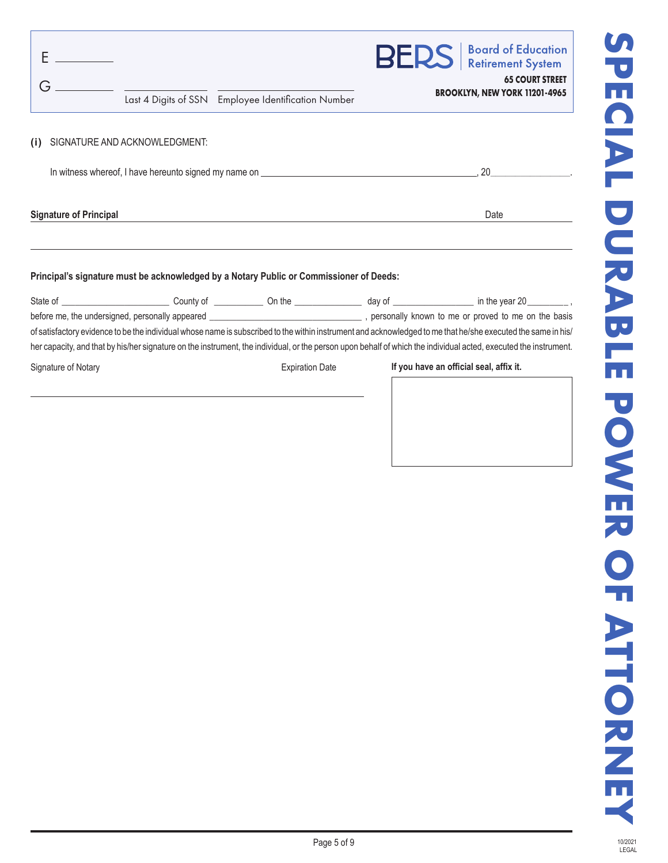| Last 4 Digits of SSN Employee Identification Number                         | <b>BERS</b>   Board of Education<br><b>65 COURT STREET</b><br>BROOKLYN, NEW YORK 11201-4965 |  |
|-----------------------------------------------------------------------------|---------------------------------------------------------------------------------------------|--|
| SIGNATURE AND ACKNOWLEDGMENT:<br>(i)                                        |                                                                                             |  |
| In witness whereof, I have hereunto signed my name on <i>______________</i> |                                                                                             |  |

**Signature of Principal** Date

### **Principal's signature must be acknowledged by a Notary Public or Commissioner of Deeds:**

| County of the country of the country of the country of the country of the country of the country of the country                                                  | dav of the control of the control of the control of the control of the control of the control of the control o | in the year $20$ ,                                                            |  |  |  |  |
|------------------------------------------------------------------------------------------------------------------------------------------------------------------|----------------------------------------------------------------------------------------------------------------|-------------------------------------------------------------------------------|--|--|--|--|
| before me, the undersigned, personally appeared ________________________________                                                                                 |                                                                                                                |                                                                               |  |  |  |  |
| of satisfactory evidence to be the individual whose name is subscribed to the within instrument and acknowledged to me that he/she executed the same in his/     |                                                                                                                |                                                                               |  |  |  |  |
| her capacity, and that by his/her signature on the instrument, the individual, or the person upon behalf of which the individual acted, executed the instrument. |                                                                                                                |                                                                               |  |  |  |  |
| Signature of Notary                                                                                                                                              |                                                                                                                | If you have an official seal, affix it.                                       |  |  |  |  |
|                                                                                                                                                                  |                                                                                                                |                                                                               |  |  |  |  |
|                                                                                                                                                                  |                                                                                                                |                                                                               |  |  |  |  |
|                                                                                                                                                                  |                                                                                                                | personally known to me or proved to me on the basis<br><b>Expiration Date</b> |  |  |  |  |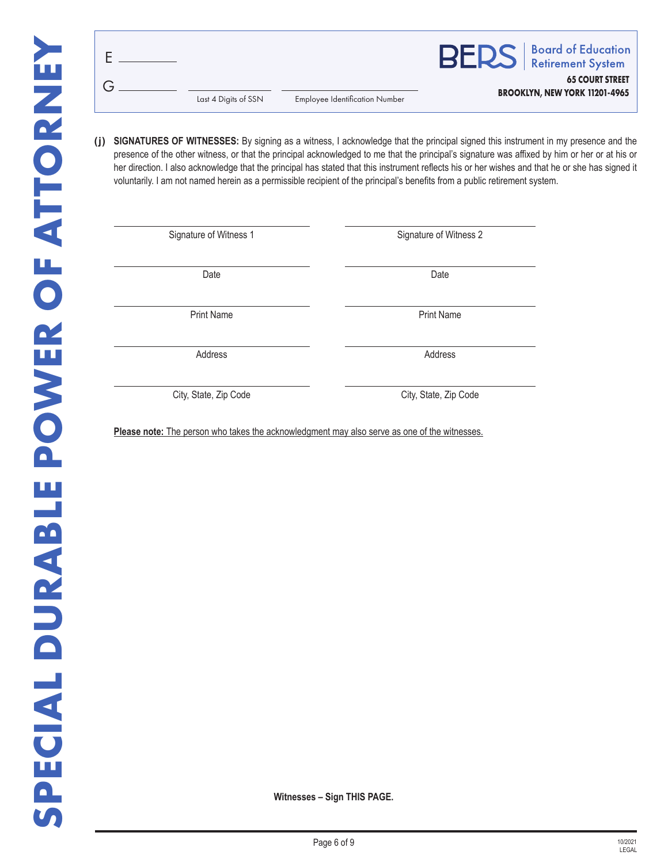|                      |                                       | <b>BERS</b>   Board of Education                               |
|----------------------|---------------------------------------|----------------------------------------------------------------|
| Last 4 Digits of SSN | <b>Employee Identification Number</b> | <b>65 COURT STREET</b><br><b>BROOKLYN, NEW YORK 11201-4965</b> |

(i) SIGNATURES OF WITNESSES: By signing as a witness, I acknowledge that the principal signed this instrument in my presence and the presence of the other witness, or that the principal acknowledged to me that the principal's signature was affixed by him or her or at his or her direction. I also acknowledge that the principal has stated that this instrument reflects his or her wishes and that he or she has signed it voluntarily. I am not named herein as a permissible recipient of the principal's benefits from a public retirement system.

Signature of Witness 1 Signature of Witness 2

Date **Date Date Date Date Date Date** 

Print Name **Print Name** 

Address Address Address Address Address Address Address Address Address Address Address Address Address Address A

City, State, Zip Code City, State, Zip Code

Please note: The person who takes the acknowledgment may also serve as one of the witnesses.

**Witnesses – Sign THIS PAGE.**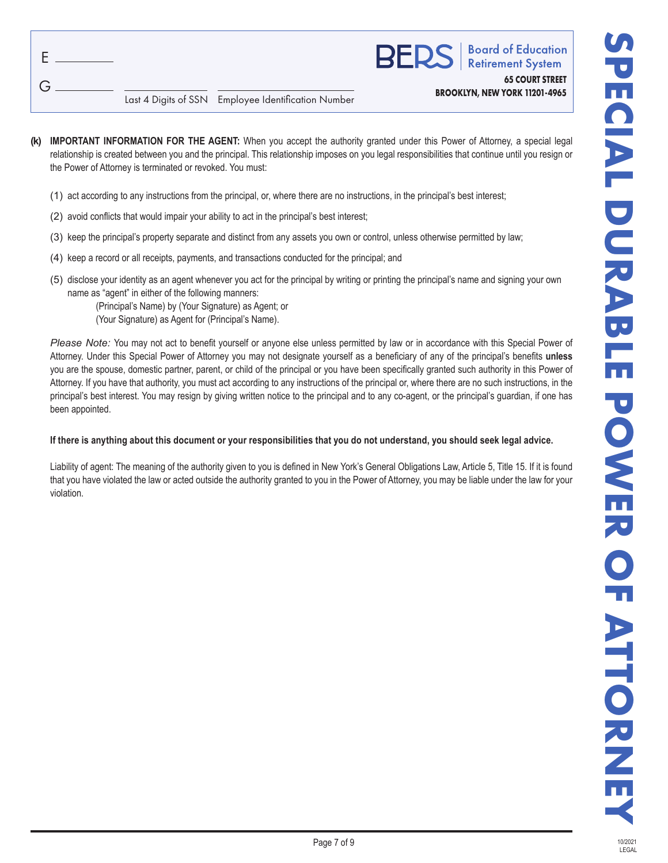| F |  |
|---|--|
|   |  |
| Ġ |  |

| P<br>Þ |
|--------|
|        |

oard of Education etirement System

**65 COURT STREET BROOKLYN, NEW YORK 11201-4965**

Last 4 Digits of SSN Employee Identification Number

- **(k) IMPORTANT INFORMATION FOR THE AGENT:** When you accept the authority granted under this Power of Attorney, a special legal relationship is created between you and the principal. This relationship imposes on you legal responsibilities that continue until you resign or the Power of Attorney is terminated or revoked. You must:
	- (1) act according to any instructions from the principal, or, where there are no instructions, in the principal's best interest;
	- (2) avoid conflicts that would impair your ability to act in the principal's best interest;
	- (3) keep the principal's property separate and distinct from any assets you own or control, unless otherwise permitted by law;
	- (4) keep a record or all receipts, payments, and transactions conducted for the principal; and
	- (5) disclose your identity as an agent whenever you act for the principal by writing or printing the principal's name and signing your own name as "agent" in either of the following manners:

(Principal's Name) by (Your Signature) as Agent; or (Your Signature) as Agent for (Principal's Name).

 *Please Note:* You may not act to benefit yourself or anyone else unless permitted by law or in accordance with this Special Power of Attorney. Under this Special Power of Attorney you may not designate yourself as a beneficiary of any of the principal's benefits **unless**  you are the spouse, domestic partner, parent, or child of the principal or you have been specifically granted such authority in this Power of Attorney. If you have that authority, you must act according to any instructions of the principal or, where there are no such instructions, in the principal's best interest. You may resign by giving written notice to the principal and to any co-agent, or the principal's guardian, if one has been appointed.

# **If there is anything about this document or your responsibilities that you do not understand, you should seek legal advice.**

Liability of agent: The meaning of the authority given to you is defined in New York's General Obligations Law, Article 5, Title 15. If it is found that you have violated the law or acted outside the authority granted to you in the Power of Attorney, you may be liable under the law for your violation.

**LEGAL**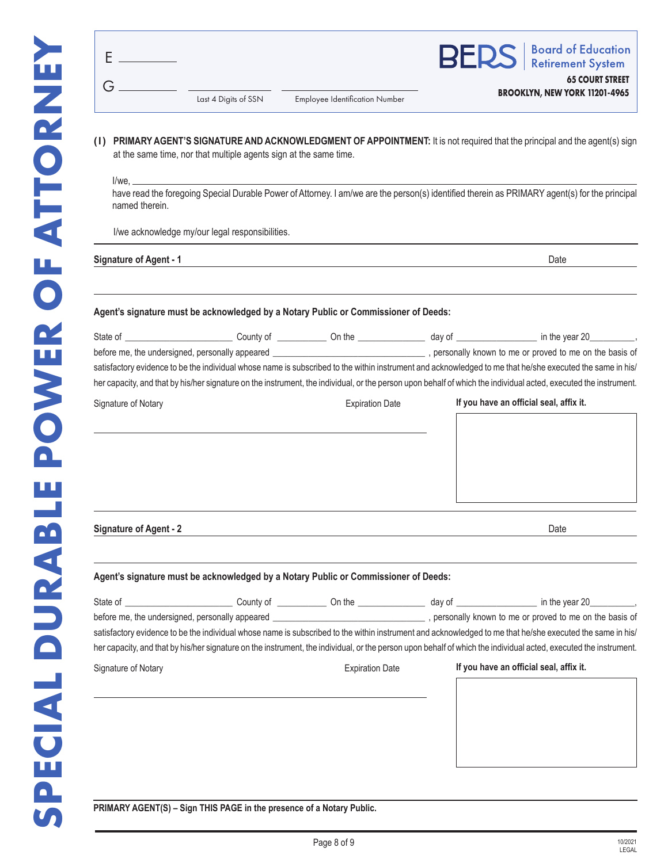|                      |                                       | <b>BERS</b>   Board of Education                               |  |
|----------------------|---------------------------------------|----------------------------------------------------------------|--|
| Last 4 Digits of SSN | <b>Employee Identification Number</b> | <b>65 COURT STREET</b><br><b>BROOKLYN, NEW YORK 11201-4965</b> |  |

**( l ) PRIMARY AGENT'S SIGNATURE AND ACKNOWLEDGMENT OF APPOINTMENT:** It is not required that the principal and the agent(s) sign at the same time, nor that multiple agents sign at the same time.

I/we,

have read the foregoing Special Durable Power of Attorney. I am/we are the person(s) identified therein as PRIMARY agent(s) for the principal named therein.

I/we acknowledge my/our legal responsibilities.

**Signature of Agent - 1** Date

#### **Agent's signature must be acknowledged by a Notary Public or Commissioner of Deeds:**

| State of                                        | County of | On the                 | dav of | in the year 20                                                                                                                                                   |
|-------------------------------------------------|-----------|------------------------|--------|------------------------------------------------------------------------------------------------------------------------------------------------------------------|
| before me, the undersigned, personally appeared |           |                        |        | personally known to me or proved to me on the basis of                                                                                                           |
|                                                 |           |                        |        | satisfactory evidence to be the individual whose name is subscribed to the within instrument and acknowledged to me that he/she executed the same in his/        |
|                                                 |           |                        |        | her capacity, and that by his/her signature on the instrument, the individual, or the person upon behalf of which the individual acted, executed the instrument. |
| Signature of Notary                             |           | <b>Expiration Date</b> |        | If you have an official seal, affix it.                                                                                                                          |

**Signature of Agent - 2** Date

#### **Agent's signature must be acknowledged by a Notary Public or Commissioner of Deeds:**

|                     |                        | State of the county of the county of the county of the county of the county of the county of the county of the county of the county of the county of the county of the county of the county of the county of the county of the<br>before me, the undersigned, personally appeared example and the basis of the basis of<br>satisfactory evidence to be the individual whose name is subscribed to the within instrument and acknowledged to me that he/she executed the same in his/<br>her capacity, and that by his/her signature on the instrument, the individual, or the person upon behalf of which the individual acted, executed the instrument. |
|---------------------|------------------------|----------------------------------------------------------------------------------------------------------------------------------------------------------------------------------------------------------------------------------------------------------------------------------------------------------------------------------------------------------------------------------------------------------------------------------------------------------------------------------------------------------------------------------------------------------------------------------------------------------------------------------------------------------|
| Signature of Notary | <b>Expiration Date</b> | If you have an official seal, affix it.                                                                                                                                                                                                                                                                                                                                                                                                                                                                                                                                                                                                                  |

**PRIMARY AGENT(S) – Sign THIS PAGE in the presence of a Notary Public.**